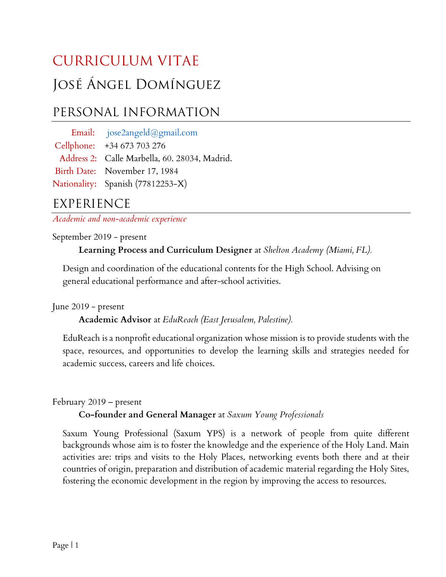# CURRICULUM VITAE José Ángel Domínguez

# PERSONAL INFORMATION

 Email: jose2angeld@gmail.com Cellphone: +34 673 703 276 Address 2: Calle Marbella, 60. 28034, Madrid. Birth Date: November 17, 1984 Nationality: Spanish (77812253-X)

## EXPERIENCE

Academic and non-academic experience

September 2019 - present

Learning Process and Curriculum Designer at Shelton Academy (Miami, FL).

Design and coordination of the educational contents for the High School. Advising on general educational performance and after-school activities.

June 2019 - present

Academic Advisor at EduReach (East Jerusalem, Palestine).

EduReach is a nonprofit educational organization whose mission is to provide students with the space, resources, and opportunities to develop the learning skills and strategies needed for academic success, careers and life choices.

February 2019 – present

Co-founder and General Manager at Saxum Young Professionals

Saxum Young Professional (Saxum YPS) is a network of people from quite different backgrounds whose aim is to foster the knowledge and the experience of the Holy Land. Main activities are: trips and visits to the Holy Places, networking events both there and at their countries of origin, preparation and distribution of academic material regarding the Holy Sites, fostering the economic development in the region by improving the access to resources.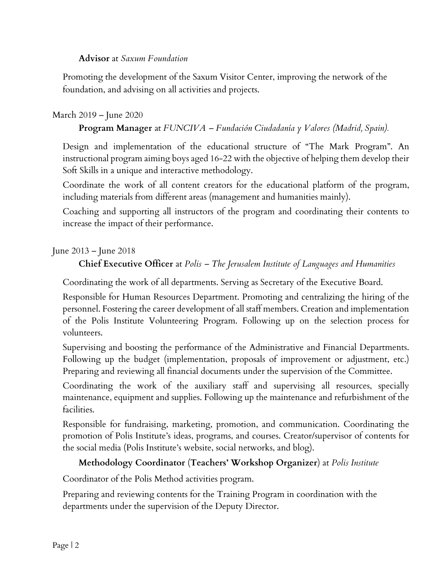#### Advisor at Saxum Foundation

Promoting the development of the Saxum Visitor Center, improving the network of the foundation, and advising on all activities and projects.

#### March 2019 – June 2020

#### Program Manager at FUNCIVA – Fundación Ciudadanía y Valores (Madrid, Spain).

Design and implementation of the educational structure of "The Mark Program". An instructional program aiming boys aged 16-22 with the objective of helping them develop their Soft Skills in a unique and interactive methodology.

Coordinate the work of all content creators for the educational platform of the program, including materials from different areas (management and humanities mainly).

Coaching and supporting all instructors of the program and coordinating their contents to increase the impact of their performance.

June 2013 – June 2018

#### Chief Executive Officer at Polis – The Jerusalem Institute of Languages and Humanities

Coordinating the work of all departments. Serving as Secretary of the Executive Board.

Responsible for Human Resources Department. Promoting and centralizing the hiring of the personnel. Fostering the career development of all staff members. Creation and implementation of the Polis Institute Volunteering Program. Following up on the selection process for volunteers.

Supervising and boosting the performance of the Administrative and Financial Departments. Following up the budget (implementation, proposals of improvement or adjustment, etc.) Preparing and reviewing all financial documents under the supervision of the Committee.

Coordinating the work of the auxiliary staff and supervising all resources, specially maintenance, equipment and supplies. Following up the maintenance and refurbishment of the facilities.

Responsible for fundraising, marketing, promotion, and communication. Coordinating the promotion of Polis Institute's ideas, programs, and courses. Creator/supervisor of contents for the social media (Polis Institute's website, social networks, and blog).

#### Methodology Coordinator (Teachers' Workshop Organizer) at Polis Institute

Coordinator of the Polis Method activities program.

Preparing and reviewing contents for the Training Program in coordination with the departments under the supervision of the Deputy Director.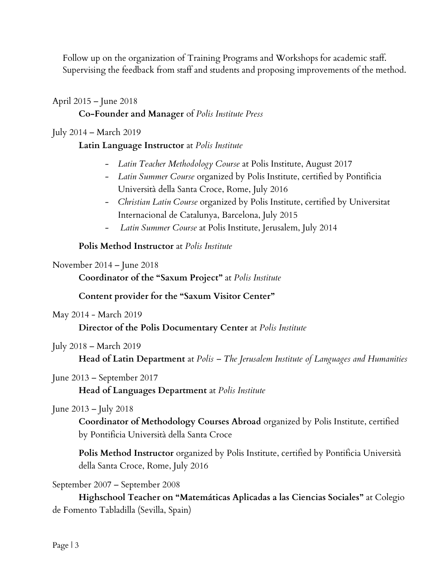Follow up on the organization of Training Programs and Workshops for academic staff. Supervising the feedback from staff and students and proposing improvements of the method.

April 2015 – June 2018 Co-Founder and Manager of Polis Institute Press

July 2014 – March 2019

#### Latin Language Instructor at Polis Institute

- Latin Teacher Methodology Course at Polis Institute, August 2017
- Latin Summer Course organized by Polis Institute, certified by Pontificia Università della Santa Croce, Rome, July 2016
- Christian Latin Course organized by Polis Institute, certified by Universitat Internacional de Catalunya, Barcelona, July 2015
- Latin Summer Course at Polis Institute, Jerusalem, July 2014

Polis Method Instructor at Polis Institute

#### November 2014 – June 2018

Coordinator of the "Saxum Project" at Polis Institute

Content provider for the "Saxum Visitor Center"

May 2014 - March 2019

Director of the Polis Documentary Center at Polis Institute

July 2018 – March 2019

Head of Latin Department at Polis - The Jerusalem Institute of Languages and Humanities

June 2013 – September 2017

Head of Languages Department at Polis Institute

#### June 2013 – July 2018

Coordinator of Methodology Courses Abroad organized by Polis Institute, certified by Pontificia Università della Santa Croce

Polis Method Instructor organized by Polis Institute, certified by Pontificia Università della Santa Croce, Rome, July 2016

September 2007 – September 2008

Highschool Teacher on "Matemáticas Aplicadas a las Ciencias Sociales" at Colegio de Fomento Tabladilla (Sevilla, Spain)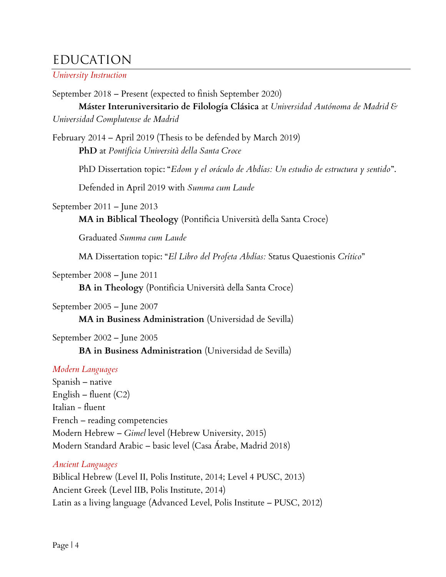### EDUCATION

University Instruction

September 2018 – Present (expected to finish September 2020) Máster Interuniversitario de Filología Clásica at Universidad Autónoma de Madrid & Universidad Complutense de Madrid

February 2014 – April 2019 (Thesis to be defended by March 2019) PhD at Pontificia Università della Santa Croce

PhD Dissertation topic: "Edom y el oráculo de Abdías: Un estudio de estructura y sentido".

Defended in April 2019 with Summa cum Laude

September 2011 – June 2013

MA in Biblical Theology (Pontificia Università della Santa Croce)

Graduated Summa cum Laude

MA Dissertation topic: "El Libro del Profeta Abdías: Status Quaestionis Crítico"

September 2008 – June 2011

BA in Theology (Pontificia Università della Santa Croce)

September 2005 – June 2007

MA in Business Administration (Universidad de Sevilla)

September 2002 – June 2005 BA in Business Administration (Universidad de Sevilla)

#### Modern Languages

Spanish – native English – fluent  $(C2)$ Italian - fluent French – reading competencies Modern Hebrew – Gimel level (Hebrew University, 2015) Modern Standard Arabic – basic level (Casa Árabe, Madrid 2018)

#### Ancient Languages

Biblical Hebrew (Level II, Polis Institute, 2014; Level 4 PUSC, 2013) Ancient Greek (Level IIB, Polis Institute, 2014) Latin as a living language (Advanced Level, Polis Institute – PUSC, 2012)